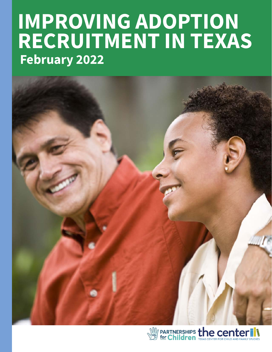# **IMPROVING ADOPTION RECRUITMENT IN TEXAS February 2022**



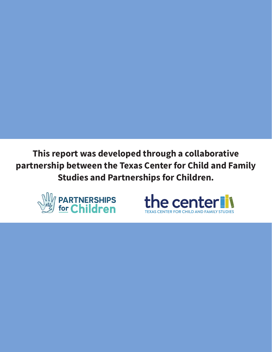**This report was developed through a collaborative partnership between the Texas Center for Child and Family Studies and Partnerships for Children.**



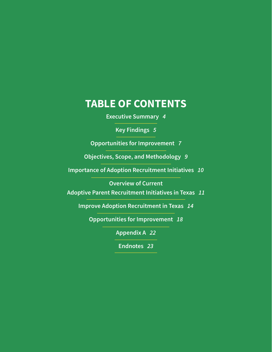### **TABLE OF CONTENTS**

**Executive Summary** *4*

**Key Findings** *5*

**Opportunities for Improvement** *7*

**Objectives, Scope, and Methodology** *9*

**Importance of Adoption Recruitment Initiatives** *10*

**Overview of Current**

**Adoptive Parent Recruitment Initiatives in Texas** *11*

**Improve Adoption Recruitment in Texas** *14*

**Opportunities for Improvement** *18*

**Appendix A** *22*

**Endnotes** *23*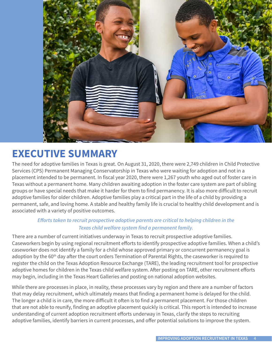

# **EXECUTIVE SUMMARY**

The need for adoptive families in Texas is great. On August 31, 2020, there were 2,749 children in Child Protective Services (CPS) Permanent Managing Conservatorship in Texas who were waiting for adoption and not in a placement intended to be permanent. In fiscal year 2020, there were 1,267 youth who aged out of foster care in Texas without a permanent home. Many children awaiting adoption in the foster care system are part of sibling groups or have special needs that make it harder for them to find permanency. It is also more difficult to recruit adoptive families for older children. Adoptive families play a critical part in the life of a child by providing a permanent, safe, and loving home. A stable and healthy family life is crucial to healthy child development and is associated with a variety of positive outcomes.

#### *Efforts taken to recruit prospective adoptive parents are critical to helping children in the Texas child welfare system find a permanent family.*

There are a number of current initiatives underway in Texas to recruit prospective adoptive families. Caseworkers begin by using regional recruitment efforts to identify prospective adoptive families. When a child's caseworker does not identify a family for a child whose approved primary or concurrent permanency goal is adoption by the 60<sup>th</sup> day after the court orders Termination of Parental Rights, the caseworker is required to register the child on the Texas Adoption Resource Exchange (TARE), the leading recruitment tool for prospective adoptive homes for children in the Texas child welfare system. After posting on TARE, other recruitment efforts may begin, including in the Texas Heart Galleries and posting on national adoption websites.

While there are processes in place, in reality, these processes vary by region and there are a number of factors that may delay recruitment, which ultimately means that finding a permanent home is delayed for the child. The longer a child is in care, the more difficult it often is to find a permanent placement. For those children that are not able to reunify, finding an adoptive placement quickly is critical. This report is intended to increase understanding of current adoption recruitment efforts underway in Texas, clarify the steps to recruiting adoptive families, identify barriers in current processes, and offer potential solutions to improve the system.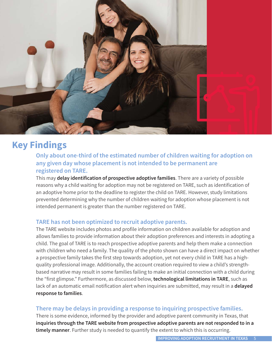

### **Key Findings**

**Only about one-third of the estimated number of children waiting for adoption on any given day whose placement is not intended to be permanent are registered on TARE.**

This may **delay identification of prospective adoptive families**. There are a variety of possible reasons why a child waiting for adoption may not be registered on TARE, such as identification of an adoptive home prior to the deadline to register the child on TARE. However, study limitations prevented determining why the number of children waiting for adoption whose placement is not intended permanent is greater than the number registered on TARE.

#### **TARE has not been optimized to recruit adoptive parents.**

The TARE website includes photos and profile information on children available for adoption and allows families to provide information about their adoption preferences and interests in adopting a child. The goal of TARE is to reach prospective adoptive parents and help them make a connection with children who need a family. The quality of the photo shown can have a direct impact on whether a prospective family takes the first step towards adoption, yet not every child in TARE has a highquality professional image. Additionally, the account creation required to view a child's strengthbased narrative may result in some families failing to make an initial connection with a child during the "first glimpse." Furthermore, as discussed below, **technological limitations in TARE**, such as lack of an automatic email notification alert when inquiries are submitted, may result in a **delayed response to families**.

#### **There may be delays in providing a response to inquiring prospective families.**

There is some evidence, informed by the provider and adoptive parent community in Texas, that **inquiries through the TARE website from prospective adoptive parents are not responded to in a timely manner**. Further study is needed to quantify the extent to which this is occurring.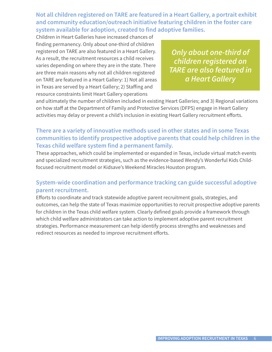**Not all children registered on TARE are featured in a Heart Gallery, a portrait exhibit and community education/outreach initiative featuring children in the foster care system available for adoption, created to find adoptive families.**

Children in Heart Galleries have increased chances of finding permanency. Only about one-third of children registered on TARE are also featured in a Heart Gallery. As a result, the recruitment resources a child receives varies depending on where they are in the state. There are three main reasons why not all children registered on TARE are featured in a Heart Gallery: 1) Not all areas in Texas are served by a Heart Gallery; 2) Staffing and resource constraints limit Heart Gallery operations

*Only about one-third of children registered on TARE are also featured in a Heart Gallery*

and ultimately the number of children included in existing Heart Galleries; and 3) Regional variations on how staff at the Department of Family and Protective Services (DFPS) engage in Heart Gallery activities may delay or prevent a child's inclusion in existing Heart Gallery recruitment efforts.

#### **There are a variety of innovative methods used in other states and in some Texas communities to identify prospective adoptive parents that could help children in the Texas child welfare system find a permanent family.**

These approaches, which could be implemented or expanded in Texas, include virtual match events and specialized recruitment strategies, such as the evidence-based Wendy's Wonderful Kids Childfocused recruitment model or Kidsave's Weekend Miracles Houston program.

#### **System-wide coordination and performance tracking can guide successful adoptive parent recruitment.**

Efforts to coordinate and track statewide adoptive parent recruitment goals, strategies, and outcomes, can help the state of Texas maximize opportunities to recruit prospective adoptive parents for children in the Texas child welfare system. Clearly defined goals provide a framework through which child welfare administrators can take action to implement adoptive parent recruitment strategies. Performance measurement can help identify process strengths and weaknesses and redirect resources as needed to improve recruitment efforts.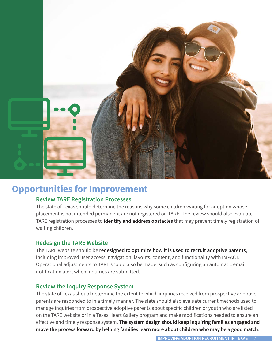

### **Opportunities for Improvement**

#### **Review TARE Registration Processes**

The state of Texas should determine the reasons why some children waiting for adoption whose placement is not intended permanent are not registered on TARE. The review should also evaluate TARE registration processes to **identify and address obstacles** that may prevent timely registration of waiting children.

#### **Redesign the TARE Website**

The TARE website should be **redesigned to optimize how it is used to recruit adoptive parents**, including improved user access, navigation, layouts, content, and functionality with IMPACT. Operational adjustments to TARE should also be made, such as configuring an automatic email notification alert when inquiries are submitted.

#### **Review the Inquiry Response System**

The state of Texas should determine the extent to which inquiries received from prospective adoptive parents are responded to in a timely manner. The state should also evaluate current methods used to manage inquiries from prospective adoptive parents about specific children or youth who are listed on the TARE website or in a Texas Heart Gallery program and make modifications needed to ensure an effective and timely response system. **The system design should keep inquiring families engaged and move the process forward by helping families learn more about children who may be a good match**.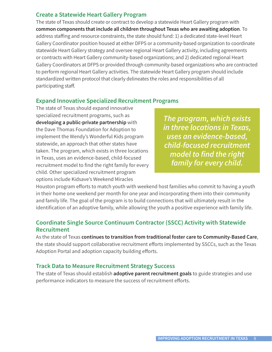#### **Create a Statewide Heart Gallery Program**

The state of Texas should create or contract to develop a statewide Heart Gallery program with **common components that include all children throughout Texas who are awaiting adoption**. To address staffing and resource constraints, the state should fund: 1) a dedicated state-level Heart Gallery Coordinator position housed at either DFPS or a community-based organization to coordinate statewide Heart Gallery strategy and oversee regional Heart Gallery activity, including agreements or contracts with Heart Gallery community-based organizations; and 2) dedicated regional Heart Gallery Coordinators at DFPS or provided through community-based organizations who are contracted to perform regional Heart Gallery activities. The statewide Heart Gallery program should include standardized written protocol that clearly delineates the roles and responsibilities of all participating staff.

#### **Expand Innovative Specialized Recruitment Programs**

The state of Texas should expand innovative specialized recruitment programs, such as **developing a public-private partnership** with the Dave Thomas Foundation for Adoption to implement the Wendy's Wonderful Kids program statewide, an approach that other states have taken. The program, which exists in three locations in Texas, uses an evidence-based, child-focused recruitment model to find the right family for every child. Other specialized recruitment program options include Kidsave's Weekend Miracles

*The program, which exists in three locations in Texas, uses an evidence-based, child-focused recruitment model to find the right family for every child.*

Houston program efforts to match youth with weekend host families who commit to having a youth in their home one weekend per month for one year and incorporating them into their community and family life. The goal of the program is to build connections that will ultimately result in the identification of an adoptive family, while allowing the youth a positive experience with family life.

#### **Coordinate Single Source Continuum Contractor (SSCC) Activity with Statewide Recruitment**

As the state of Texas **continues to transition from traditional foster care to Community-Based Care**, the state should support collaborative recruitment efforts implemented by SSCCs, such as the Texas Adoption Portal and adoption capacity building efforts.

#### **Track Data to Measure Recruitment Strategy Success**

The state of Texas should establish **adoptive parent recruitment goals** to guide strategies and use performance indicators to measure the success of recruitment efforts.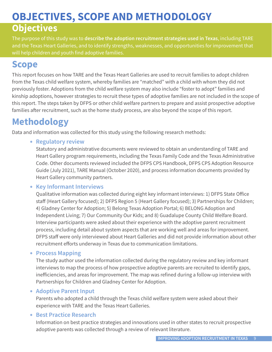# **OBJECTIVES, SCOPE AND METHODOLOGY**

### **Objectives**

The purpose of this study was to **describe the adoption recruitment strategies used in Texas**, including TARE and the Texas Heart Galleries, and to identify strengths, weaknesses, and opportunities for improvement that will help children and youth find adoptive families.

### **Scope**

This report focuses on how TARE and the Texas Heart Galleries are used to recruit families to adopt children from the Texas child welfare system, whereby families are "matched" with a child with whom they did not previously foster. Adoptions from the child welfare system may also include "foster to adopt" families and kinship adoptions, however strategies to recruit these types of adoptive families are not included in the scope of this report. The steps taken by DFPS or other child welfare partners to prepare and assist prospective adoptive families after recruitment, such as the home study process, are also beyond the scope of this report.

### **Methodology**

Data and information was collected for this study using the following research methods:

• **Regulatory review**

Statutory and administrative documents were reviewed to obtain an understanding of TARE and Heart Gallery program requirements, including the Texas Family Code and the Texas Administrative Code. Other documents reviewed included the DFPS CPS Handbook, DFPS CPS Adoption Resource Guide (July 2021), TARE Manual (October 2020), and process information documents provided by Heart Gallery community partners.

#### • **Key Informant Interviews**

Qualitative information was collected during eight key informant interviews: 1) DFPS State Office staff (Heart Gallery focused); 2) DFPS Region 5 (Heart Gallery focused); 3) Partnerships for Children; 4) Gladney Center for Adoption; 5) Belong Texas Adoption Portal; 6) BELONG Adoption and Independent Living; 7) Our Community Our Kids; and 8) Guadalupe County Child Welfare Board. Interview participants were asked about their experience with the adoptive parent recruitment process, including detail about system aspects that are working well and areas for improvement. DFPS staff were only interviewed about Heart Galleries and did not provide information about other recruitment efforts underway in Texas due to communication limitations.

#### • **Process Mapping**

The study author used the information collected during the regulatory review and key informant interviews to map the process of how prospective adoptive parents are recruited to identify gaps, inefficiencies, and areas for improvement. The map was refined during a follow-up interview with Partnerships for Children and Gladney Center for Adoption.

#### • **Adoptive Parent Input**

Parents who adopted a child through the Texas child welfare system were asked about their experience with TARE and the Texas Heart Galleries.

#### • **Best Practice Research**

Information on best practice strategies and innovations used in other states to recruit prospective adoptive parents was collected through a review of relevant literature.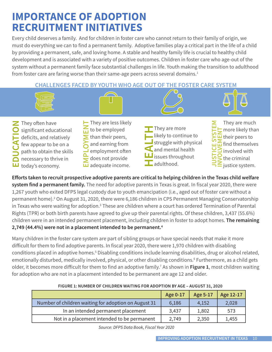### **IMPORTANCE OF ADOPTION RECRUITMENT INITIATIVES**

Every child deserves a family. And for children in foster care who cannot return to their family of origin, we must do everything we can to find a permanent family. Adoptive families play a critical part in the life of a child by providing a permanent, safe, and loving home. A stable and healthy family life is crucial to healthy child development and is associated with a variety of positive outcomes. Children in foster care who age-out of the system without a permanent family face substantial challenges in life. Youth making the transition to adulthood from foster care are faring worse than their same-age peers across several domains.<sup>1</sup>

**CHALLENGES FACED BY YOUTH WHO AGE OUT OF THE FOSTER CARE SYSTEM**



- They often have significant educational deficits, and relatively few appear to be on a path to obtain the skills necessary to thrive in **EDUCATION** Significant educat<br>deficits, and relat<br>few appear to be<br>path to obtain the<br>necessary to thrive<br>doday's economy.
	- They are less likely to be employed than their peers, and earning from employment often does not provide **EM** adequate income.



**JUSTICE SYSTEM**  They are much  $\mathbf{u}$  more likely than **IF** more likely tha<br> **I** their peers to<br> **I** find themselve<br> **I** involved with<br> **I** the criminal<br> **I** justice system. their peers to  $\overline{u}$  find themselves Ш involved with the criminal

**Efforts taken to recruit prospective adoptive parents are critical to helping children in the Texas child welfare system find a permanent family.** The need for adoptive parents in Texas is great. In fiscal year 2020, there were 1,267 youth who exited DFPS legal custody due to youth emancipation (i.e., aged out of foster care without a permanent home).<sup>2</sup> On August 31, 2020, there were 6,186 children in CPS Permanent Managing Conservatorship in Texas who were waiting for adoption.<sup>3</sup> These are children where a court has ordered Termination of Parental Rights (TPR) or both birth parents have agreed to give up their parental rights. Of these children, 3,437 (55.6%) children were in an intended permanent placement, including children in foster to adopt homes. **The remaining 2,749 (44.4%) were not in a placement intended to be permanent.4**

Many children in the foster care system are part of sibling groups or have special needs that make it more difficult for them to find adoptive parents. In fiscal year 2020, there were 1,970 children with disabling conditions placed in adoptive homes.<sup>5</sup> Disabling conditions include learning disabilities, drug or alcohol related, emotionally disturbed, medically involved, physical, or other disabling conditions.<sup>6</sup> Furthermore, as a child gets older, it becomes more difficult for them to find an adoptive family.7 As shown in **Figure 1**, most children waiting for adoption who are not in a placement intended to be permanent are age 12 and older.

|                                                      | Age 0-17 | Age 5-17 | Age 12-17 |
|------------------------------------------------------|----------|----------|-----------|
| Number of children waiting for adoption on August 31 | 6,186    | 4,152    | 2,028     |
| In an intended permanent placement                   | 3,437    | 1,802    | 573       |
| Not in a placement intended to be permanent          | 2,749    | 2,350    | 1,455     |

#### **FIGURE 1: NUMBER OF CHILDREN WAITING FOR ADOPTION BY AGE – AUGUST 31, 2020**

*Source: DFPS Data Book, Fiscal Year 2020*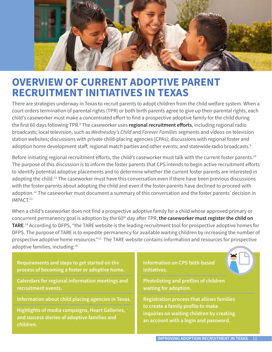

### **OVERVIEW OF CURRENT ADOPTIVE PARENT RECRUITMENT INITIATIVES IN TEXAS**

There are strategies underway in Texas to recruit parents to adopt children from the child welfare system. When a court orders termination of parental rights (TPR) or both birth parents agree to give up their parental rights, each child's caseworker must make a concentrated effort to find a prospective adoptive family for the child during the first 60 days following TPR.<sup>8</sup> The caseworker uses **regional recruitment efforts**, including regional radio broadcasts; local television, such as *Wednesday's Child* and *Forever Families* segments and videos on television station websites; discussions with private child-placing agencies (CPAs); discussions with regional foster and adoption home development staff; regional match parties and other events; and statewide radio broadcasts.<sup>9</sup>

Before initiating regional recruitment efforts, the child's caseworker must talk with the current foster parents.<sup>10</sup> The purpose of this discussion is to inform the foster parents that CPS intends to begin active recruitment efforts to identify potential adoptive placements and to determine whether the current foster parents are interested in adopting the child.<sup>11</sup> The caseworker must have this conversation even if there have been previous discussions with the foster parents about adopting the child and even if the foster parents have declined to proceed with adoption.12 The caseworker must document a summary of this conversation and the foster parents' decision in IMPACT.13

When a child's caseworker does not find a prospective adoptive family for a child whose approved primary or concurrent permanency goal is adoption by the 60<sup>th</sup> day after TPR, **the caseworker must register the child on TARE**. 14 According to DFPS, "the TARE website is the leading recruitment tool for prospective adoptive homes for DFPS. The purpose of TARE is to expedite permanency for available waiting children by increasing the number of prospective adoptive home resources."15 The TARE website contains information and resources for prospective adoptive families, including:16

**Requirements and steps to get started on the process of becoming a foster or adoptive home.** 

**Calendars for regional information meetings and recruitment events.**

**Information about child placing agencies in Texas.** 

**Highlights of media campaigns, Heart Galleries, and success stories of adoptive families and children.**

**Information on CPS faith-based initiatives.**



**Registration process that allows families to create a family profile to make inquiries on waiting children by creating an account with a login and password.**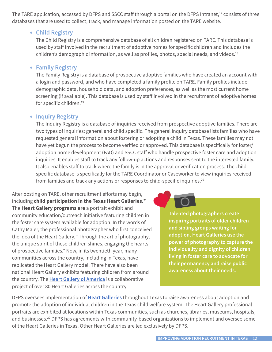The TARE application, accessed by DFPS and SSCC staff through a portal on the DFPS Intranet,<sup>17</sup> consists of three databases that are used to collect, track, and manage information posted on the TARE website.

#### • **Child Registry**

The Child Registry is a comprehensive database of all children registered on TARE. This database is used by staff involved in the recruitment of adoptive homes for specific children and includes the children's demographic information, as well as profiles, photos, special needs, and videos.<sup>18</sup>

#### • **Family Registry**

The Family Registry is a database of prospective adoptive families who have created an account with a login and password, and who have completed a family profile on TARE. Family profiles include demographic data, household data, and adoption preferences, as well as the most current home screening (if available). This database is used by staff involved in the recruitment of adoptive homes for specific children.<sup>19</sup>

#### • **Inquiry Registry**

The Inquiry Registry is a database of inquiries received from prospective adoptive families. There are two types of inquiries: general and child specific. The general inquiry database lists families who have requested general information about fostering or adopting a child in Texas. These families may not have yet begun the process to become verified or approved. This database is specifically for foster/ adoption home development (FAD) and SSCC staff who handle prospective foster care and adoption inquiries. It enables staff to track any follow-up actions and responses sent to the interested family. It also enables staff to track where the family is in the approval or verification process. The childspecific database is specifically for the TARE Coordinator or Caseworker to view inquiries received from families and track any actions or responses to child-specific inquiries.<sup>20</sup>

After posting on TARE, other recruitment efforts may begin, including **child participation in the Texas Heart Galleries.21** The **Heart Gallery programs are** a portrait exhibit and community education/outreach initiative featuring children in the foster care system available for adoption. In the words of Cathy Maier, the professional photographer who first conceived the idea of the Heart Gallery, "Through the art of photography, the unique spirit of these children shines, engaging the hearts of prospective families." Now, in its twentieth year, many communities across the country, including in Texas, have replicated the Heart Gallery model. There have also been national Heart Gallery exhibits featuring children from around the country. The **Heart Gallery of America** is a collaborative project of over 80 Heart Galleries across the country.

**Talented photographers create inspiring portraits of older children and sibling groups waiting for adoption. Heart Galleries use the power of photography to capture the individuality and dignity of children living in foster care to advocate for their permanency and raise public awareness about their needs.**

DFPS oversees implementation of **Heart Galleries** throughout Texas to raise awareness about adoption and promote the adoption of individual children in the Texas child welfare system. The Heart Gallery professional portraits are exhibited at locations within Texas communities, such as churches, libraries, museums, hospitals, and businesses.<sup>22</sup> DFPS has agreements with community-based organizations to implement and oversee some of the Heart Galleries in Texas. Other Heart Galleries are led exclusively by DFPS.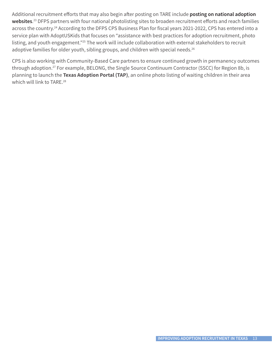Additional recruitment efforts that may also begin after posting on TARE include **posting on national adoption websites**. 23 DFPS partners with four national photolisting sites to broaden recruitment efforts and reach families across the country.24 According to the DFPS CPS Business Plan for fiscal years 2021-2022, CPS has entered into a service plan with AdoptUSKids that focuses on "assistance with best practices for adoption recruitment, photo listing, and youth engagement."25 The work will include collaboration with external stakeholders to recruit adoptive families for older youth, sibling groups, and children with special needs.<sup>26</sup>

CPS is also working with Community-Based Care partners to ensure continued growth in permanency outcomes through adoption.<sup>27</sup> For example, BELONG, the Single Source Continuum Contractor (SSCC) for Region 8b, is planning to launch the **Texas Adoption Portal (TAP)**, an online photo listing of waiting children in their area which will link to TARE.<sup>28</sup>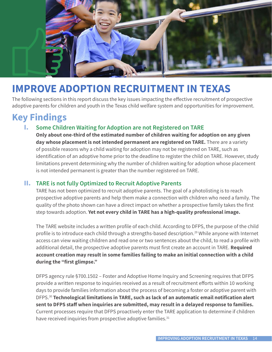

# **IMPROVE ADOPTION RECRUITMENT IN TEXAS**

The following sections in this report discuss the key issues impacting the effective recruitment of prospective adoptive parents for children and youth in the Texas child welfare system and opportunities for improvement.

### **Key Findings**

#### I. **Some Children Waiting for Adoption are not Registered on TARE**

**Only about one-third of the estimated number of children waiting for adoption on any given day whose placement is not intended permanent are registered on TARE.** There are a variety of possible reasons why a child waiting for adoption may not be registered on TARE, such as identification of an adoptive home prior to the deadline to register the child on TARE. However, study limitations prevent determining why the number of children waiting for adoption whose placement is not intended permanent is greater than the number registered on TARE.

#### II. **TARE is not fully Optimized to Recruit Adoptive Parents**

 TARE has not been optimized to recruit adoptive parents. The goal of a photolisting is to reach prospective adoptive parents and help them make a connection with children who need a family. The quality of the photo shown can have a direct impact on whether a prospective family takes the first step towards adoption. **Yet not every child in TARE has a high-quality professional image.**

The TARE website includes a written profile of each child. According to DFPS, the purpose of the child profile is to introduce each child through a strengths-based description.29 While anyone with Internet access can view waiting children and read one or two sentences about the child, to read a profile with additional detail, the prospective adoptive parents must first create an account in TARE. **Required account creation may result in some families failing to make an initial connection with a child during the "first glimpse."**

DFPS agency rule §700.1502 – Foster and Adoptive Home Inquiry and Screening requires that DFPS provide a written response to inquiries received as a result of recruitment efforts within 10 working days to provide families information about the process of becoming a foster or adoptive parent with DFPS.30 **Technological limitations in TARE, such as lack of an automatic email notification alert sent to DFPS staff when inquiries are submitted, may result in a delayed response to families.** Current processes require that DFPS proactively enter the TARE application to determine if children have received inquiries from prospective adoptive families.<sup>31</sup>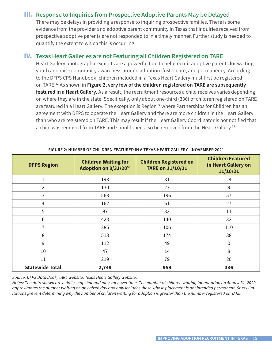#### III. **Response to Inquiries from Prospective Adoptive Parents May be Delayed**

 There may be delays in providing a response to inquiring prospective families. There is some evidence from the provider and adoptive parent community in Texas that inquiries received from prospective adoptive parents are not responded to in a timely manner. Further study is needed to quantify the extent to which this is occurring.

#### IV. **Texas Heart Galleries are not Featuring all Children Registered on TARE**

Heart Gallery photographic exhibits are a powerful tool to help recruit adoptive parents for waiting youth and raise community awareness around adoption, foster care, and permanency. According to the DFPS CPS Handbook, children included in a Texas Heart Gallery must first be registered on TARE.32 As shown in **Figure 2, very few of the children registered on TARE are subsequently featured in a Heart Gallery.** As a result, the recruitment resources a child receives varies depending on where they are in the state. Specifically, only about one-third (336) of children registered on TARE are featured in a Heart Gallery. The exception is Region 7 where Partnerships for Children has an agreement with DFPS to operate the Heart Gallery and there are more children in the Heart Gallery than who are registered on TARE. This may result if the Heart Gallery Coordinator is not notified that a child was removed from TARE and should then also be removed from the Heart Gallery.<sup>33</sup>

| <b>DFPS Region</b>     | <b>Children Waiting for</b><br>Adoption on 8/31/2056 | <b>Children Registered on</b><br><b>TARE on 11/10/21</b> | <b>Children Featured</b><br>in Heart Gallery on<br>11/10/21 |
|------------------------|------------------------------------------------------|----------------------------------------------------------|-------------------------------------------------------------|
| 1                      | 193                                                  | 81                                                       | 24                                                          |
| $\overline{2}$         | 130                                                  | 27                                                       | 9                                                           |
| 3                      | 563                                                  | 196                                                      | 57                                                          |
| 4                      | 162                                                  | 61                                                       | 27                                                          |
| 5                      | 97                                                   | 32                                                       | 11                                                          |
| 6                      | 428                                                  | 140                                                      | 32                                                          |
| 7                      | 285                                                  | 106                                                      | 110                                                         |
| 8                      | 513                                                  | 174                                                      | 38                                                          |
| 9                      | 112                                                  | 49                                                       | $\overline{0}$                                              |
| 10                     | 47                                                   | 14                                                       | 8                                                           |
| 11                     | 219                                                  | 79                                                       | 20                                                          |
| <b>Statewide Total</b> | 2,749                                                | 959                                                      | 336                                                         |

**FIGURE 2: NUMBER OF CHILDREN FEATURED IN A TEXAS HEART GALLERY – NOVEMBER 2021**

*Source: DFPS Data Book, TARE website, Texas Heart Gallery website.*

*Notes: The data shown are a daily snapshot and may vary over time. The number of children waiting for adoption on August 31, 2020, approximates the number waiting on any given day and only includes those whose placement is not intended permanent. Study limitations prevent determining why the number of children waiting for adoption is greater than the number registered on TARE.*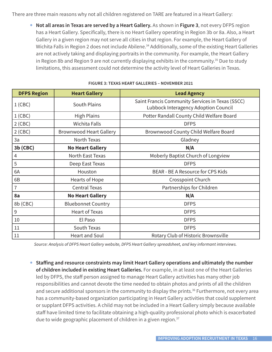There are three main reasons why not all children registered on TARE are featured in a Heart Gallery:

• **Not all areas in Texas are served by a Heart Gallery.** As shown in **Figure 3**, not every DFPS region has a Heart Gallery. Specifically, there is no Heart Gallery operating in Region 3b or 8a. Also, a Heart Gallery in a given region may not serve all cities in that region. For example, the Heart Gallery of Wichita Falls in Region 2 does not include Abilene.<sup>34</sup> Additionally, some of the existing Heart Galleries are not actively taking and displaying portraits in the community. For example, the Heart Gallery in Region 8b and Region 9 are not currently displaying exhibits in the community.<sup>35</sup> Due to study limitations, this assessment could not determine the activity level of Heart Galleries in Texas.

| <b>DFPS Region</b> | <b>Heart Gallery</b>           | <b>Lead Agency</b>                                                                       |  |
|--------------------|--------------------------------|------------------------------------------------------------------------------------------|--|
| $1$ (CBC)          | <b>South Plains</b>            | Saint Francis Community Services in Texas (SSCC)<br>Lubbock Interagency Adoption Council |  |
| $1$ (CBC)          | <b>High Plains</b>             | Potter Randall County Child Welfare Board                                                |  |
| $2$ (CBC)          | <b>Wichita Falls</b>           | <b>DFPS</b>                                                                              |  |
| $2$ (CBC)          | <b>Brownwood Heart Gallery</b> | Brownwood County Child Welfare Board                                                     |  |
| 3a                 | North Texas                    | Gladney                                                                                  |  |
| 3b (CBC)           | <b>No Heart Gallery</b>        | N/A                                                                                      |  |
| $\overline{4}$     | North East Texas               | Moberly Baptist Church of Longview                                                       |  |
| 5                  | Deep East Texas                | <b>DFPS</b>                                                                              |  |
| 6A                 | Houston                        | BEAR - BE A Resource for CPS Kids                                                        |  |
| 6B                 | Hearts of Hope                 | Crosspoint Church                                                                        |  |
| $\overline{7}$     | <b>Central Texas</b>           | Partnerships for Children                                                                |  |
| 8a                 | <b>No Heart Gallery</b>        | N/A                                                                                      |  |
| 8b (CBC)           | <b>Bluebonnet Country</b>      | <b>DFPS</b>                                                                              |  |
| 9                  | <b>Heart of Texas</b>          | <b>DFPS</b>                                                                              |  |
| 10                 | El Paso                        | <b>DFPS</b>                                                                              |  |
| 11                 | South Texas                    | <b>DFPS</b>                                                                              |  |
| 11                 | <b>Heart and Soul</b>          | Rotary Club of Historic Brownsville                                                      |  |

#### **FIGURE 3: TEXAS HEART GALLERIES – NOVEMBER 2021**

*Source: Analysis of DFPS Heart Gallery website, DFPS Heart Gallery spreadsheet, and key informant interviews.*

• **Staffing and resource constraints may limit Heart Gallery operations and ultimately the number of children included in existing Heart Galleries.** For example, in at least one of the Heart Galleries led by DFPS, the staff person assigned to manage Heart Gallery activities has many other job responsibilities and cannot devote the time needed to obtain photos and prints of all the children and secure additional sponsors in the community to display the prints.<sup>36</sup> Furthermore, not every area has a community-based organization participating in Heart Gallery activities that could supplement or supplant DFPS activities. A child may not be included in a Heart Gallery simply because available staff have limited time to facilitate obtaining a high-quality professional photo which is exacerbated due to wide geographic placement of children in a given region.<sup>37</sup>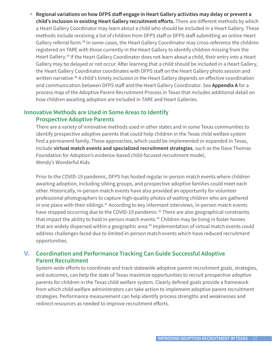• **Regional variations on how DFPS staff engage in Heart Gallery activities may delay or prevent a child's inclusion in existing Heart Gallery recruitment efforts.** There are different methods by which a Heart Gallery Coordinator may learn about a child who should be included in a Heart Gallery. These methods include receiving a list of children from DFPS staff or DFPS staff submitting an online Heart Gallery referral form.<sup>38</sup> In some cases, the Heart Gallery Coordinator may cross-reference the children registered on TARE with those currently in the Heart Gallery to identify children missing from the Heart Gallery.39 If the Heart Gallery Coordinator does not learn about a child, their entry into a Heart Gallery may be delayed or not occur. After learning that a child should be included in a Heart Gallery, the Heart Gallery Coordinator coordinates with DFPS staff on the Heart Gallery photo session and written narrative.<sup>40</sup> A child's timely inclusion in the Heart Gallery depends on effective coordination and communication between DFPS staff and the Heart Gallery Coordinator. See **Appendix A** for a process map of the Adoptive Parent Recruitment Process in Texas that includes additional detail on how children awaiting adoption are included in TARE and Heart Galleries.

#### **Innovative Methods are Used in Some Areas to Identify Prospective Adoptive Parents**

There are a variety of innovative methods used in other states and in some Texas communities to identify prospective adoptive parents that could help children in the Texas child welfare system find a permanent family. These approaches, which could be implemented or expanded in Texas, include **virtual match events and specialized recruitment strategies**, such as the Dave Thomas Foundation for Adoption's evidence-based child-focused recruitment model, Wendy's Wonderful Kids.

Prior to the COVID-19 pandemic, DFPS has hosted regular in-person match events where children awaiting adoption, including sibling groups, and prospective adoptive families could meet each other. Historically, in-person match events have also provided an opportunity for volunteer professional photographers to capture high-quality photos of waiting children who are gathered in one place with their siblings.<sup>41</sup> According to key informant interviews, in-person match events have stopped occurring due to the COVID-19 pandemic.<sup>42</sup> There are also geographical constraints that impact the ability to hold in-person match events.<sup>43</sup> Children may be living in foster homes that are widely dispersed within a geographic area.<sup>44</sup> Implementation of virtual match events could address challenges faced due to limited in-person match events which have reduced recruitment opportunities.

#### V. **Coordination and Performance Tracking Can Guide Successful Adoptive Parent Recruitment**

System-wide efforts to coordinate and track statewide adoptive parent recruitment goals, strategies, and outcomes, can help the state of Texas maximize opportunities to recruit prospective adoptive parents for children in the Texas child welfare system. Clearly defined goals provide a framework from which child welfare administrators can take action to implement adoptive parent recruitment strategies. Performance measurement can help identify process strengths and weaknesses and redirect resources as needed to improve recruitment efforts.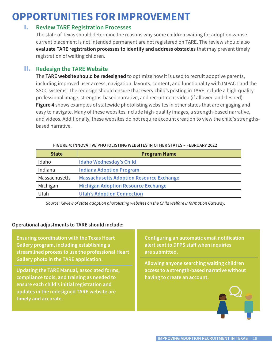# **OPPORTUNITIES FOR IMPROVEMENT**

#### I. **Review TARE Registration Processes**

The state of Texas should determine the reasons why some children waiting for adoption whose current placement is not intended permanent are not registered on TARE. The review should also **evaluate TARE registration processes to identify and address obstacles** that may prevent timely registration of waiting children.

#### II. **Redesign the TARE Website**

The **TARE website should be redesigned** to optimize how it is used to recruit adoptive parents, including improved user access, navigation, layouts, content, and functionality with IMPACT and the SSCC systems. The redesign should ensure that every child's posting in TARE include a high-quality professional image, strengths-based narrative, and recruitment video (if allowed and desired). **Figure 4** shows examples of statewide photolisting websites in other states that are engaging and easy to navigate. Many of these websites include high-quality images, a strength-based narrative, and videos. Additionally, these websites do not require account creation to view the child's strengthsbased narrative.

| <b>State</b>  | <b>Program Name</b>                             |  |
|---------------|-------------------------------------------------|--|
| Idaho         | <b>Idaho Wednesday's Child</b>                  |  |
| Indiana       | <b>Indiana Adoption Program</b>                 |  |
| Massachusetts | <b>Massachusetts Adoption Resource Exchange</b> |  |
| Michigan      | <b>Michigan Adoption Resource Exchange</b>      |  |
| Utah          | <b>Utah's Adoption Connection</b>               |  |

| FIGURE 4: INNOVATIVE PHOTOLISTING WEBSITES IN OTHER STATES – FEBRUARY 2022 |  |
|----------------------------------------------------------------------------|--|
|                                                                            |  |

*Source: Review of state adoption photolisting websites on the Child Welfare Information Gateway.*

#### **Operational adjustments to TARE should include:**

**Ensuring coordination with the Texas Heart Gallery program, including establishing a streamlined process to use the professional Heart Gallery photo in the TARE application.** 

**Updating the TARE Manual, associated forms, compliance tools, and training as needed to ensure each child's initial registration and updates in the redesigned TARE website are timely and accurate.** 

**Configuring an automatic email notification alert sent to DFPS staff when inquiries are submitted.**

**Allowing anyone searching waiting children access to a strength-based narrative without having to create an account.**

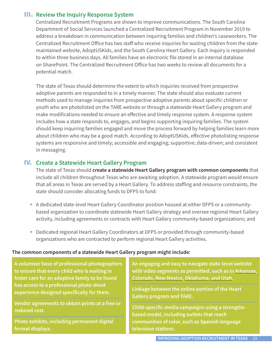#### III. **Review the Inquiry Response System**

Centralized Recruitment Programs are shown to improve communications. The South Carolina Department of Social Services launched a Centralized Recruitment Program in November 2019 to address a breakdown in communication between inquiring families and children's caseworkers. The Centralized Recruitment Office has two staff who receive inquiries for waiting children from the statemaintained website, AdoptUSKids, and the South Carolina Heart Gallery. Each inquiry is responded to within three business days. All families have an electronic file stored in an internal database on SharePoint. The Centralized Recruitment Office has two weeks to review all documents for a potential match.

The state of Texas should determine the extent to which inquiries received from prospective adoptive parents are responded to in a timely manner. The state should also evaluate current methods used to manage inquiries from prospective adoptive parents about specific children or youth who are photolisted on the TARE website or through a statewide Heart Gallery program and make modifications needed to ensure an effective and timely response system. A response system includes how a state responds to, engages, and begins supporting inquiring families. The system should keep inquiring families engaged and move the process forward by helping families learn more about children who may be a good match. According to AdoptUSKids, effective photolisting response systems are responsive and timely; accessible and engaging; supportive; data-driven; and consistent in messaging.

#### IV. **Create a Statewide Heart Gallery Program**

The state of Texas should **create a statewide Heart Gallery program with common components** that include all children throughout Texas who are awaiting adoption. A statewide program would ensure that all areas in Texas are served by a Heart Gallery. To address staffing and resource constraints, the state should consider allocating funds to DFPS to fund:

- A dedicated state-level Heart Gallery Coordinator position housed at either DFPS or a communitybased organization to coordinate statewide Heart Gallery strategy and oversee regional Heart Gallery activity, including agreements or contracts with Heart Gallery community-based organizations; and
- Dedicated regional Heart Gallery Coordinators at DFPS or provided through community-based organizations who are contracted to perform regional Heart Gallery activities.

#### **The common components of a statewide Heart Gallery program might include:**

**A volunteer base of professional photographers to ensure that every child who is waiting in foster care for an adoptive family to be found has access to a professional photo shoot experience designed specifically for them.**

**Vendor agreements to obtain prints at a free or reduced cost.**

**Photo exhibits, including permanent digital format displays.**

**An engaging and easy to navigate state-level website with video segments as permitted, such as in Arkansas, Colorado, New Mexico, Oklahoma, and Utah.** 

**Linkage between the online portion of the Heart Gallery program and TARE.**

**Child-specific media campaigns using a strengthsbased model, including outlets that reach communities of color, such as Spanish language television stations.**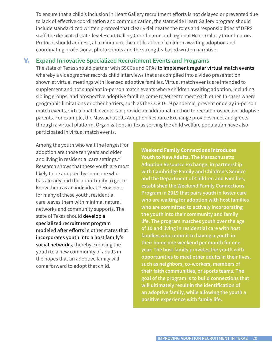To ensure that a child's inclusion in Heart Gallery recruitment efforts is not delayed or prevented due to lack of effective coordination and communication, the statewide Heart Gallery program should include standardized written protocol that clearly delineates the roles and responsibilities of DFPS staff, the dedicated state-level Heart Gallery Coordinator, and regional Heart Gallery Coordinators. Protocol should address, at a minimum, the notification of children awaiting adoption and coordinating professional photo shoots and the strengths-based written narrative.

#### V. **Expand Innovative Specialized Recruitment Events and Programs**

The state of Texas should partner with SSCCs and CPAs **to implement regular virtual match events** whereby a videographer records child interviews that are compiled into a video presentation shown at virtual meetings with licensed adoptive families. Virtual match events are intended to supplement and not supplant in-person match events where children awaiting adoption, including sibling groups, and prospective adoptive families come together to meet each other. In cases where geographic limitations or other barriers, such as the COVID-19 pandemic, prevent or delay in-person match events, virtual match events can provide an additional method to recruit prospective adoptive parents. For example, the Massachusetts Adoption Resource Exchange provides meet and greets through a virtual platform. Organizations in Texas serving the child welfare population have also participated in virtual match events.

 Among the youth who wait the longest for adoption are those ten years and older and living in residential care settings.<sup>45</sup> Research shows that these youth are most likely to be adopted by someone who has already had the opportunity to get to know them as an individual.<sup>46</sup> However, for many of these youth, residential care leaves them with minimal natural networks and community supports. The state of Texas should **develop a specialized recruitment program modeled after efforts in other states that incorporates youth into a host family's social networks**, thereby exposing the youth to a new community of adults in the hopes that an adoptive family will come forward to adopt that child.

**Weekend Family Connections Introduces Youth to New Adults. The Massachusetts Adoption Resource Exchange, in partnership with Cambridge Family and Children's Service and the Department of Children and Families, established the Weekend Family Connections Program in 2019 that pairs youth in foster care who are waiting for adoption with host families who are committed to actively incorporating the youth into their community and family life. The program matches youth over the age of 10 and living in residential care with host families who commit to having a youth in their home one weekend per month for one year. The host family provides the youth with opportunities to meet other adults in their lives, such as neighbors, co-workers, members of their faith communities, or sports teams. The goal of the program is to build connections that will ultimately result in the identification of an adoptive family, while allowing the youth a positive experience with family life.**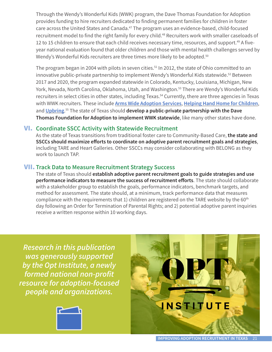Through the Wendy's Wonderful Kids (WWK) program, the Dave Thomas Foundation for Adoption provides funding to hire recruiters dedicated to finding permanent families for children in foster care across the United States and Canada.<sup>47</sup> The program uses an evidence-based, child-focused recruitment model to find the right family for every child.<sup>48</sup> Recruiters work with smaller caseloads of 12 to 15 children to ensure that each child receives necessary time, resources, and support.<sup>49</sup> A fiveyear national evaluation found that older children and those with mental health challenges served by Wendy's Wonderful Kids recruiters are three times more likely to be adopted.<sup>50</sup>

The program began in 2004 with pilots in seven cities.<sup>51</sup> In 2012, the state of Ohio committed to an innovative public-private partnership to implement Wendy's Wonderful Kids statewide.<sup>52</sup> Between 2017 and 2020, the program expanded statewide in Colorado, Kentucky, Louisiana, Michigan, New York, Nevada, North Carolina, Oklahoma, Utah, and Washington.<sup>53</sup> There are Wendy's Wonderful Kids recruiters in select cities in other states, including Texas.<sup>54</sup> Currently, there are three agencies in Texas with WWK recruiters. These include **Arms Wide Adoption Services**, **Helping Hand Home for Children**, and **Upbring**. 55 The state of Texas should **develop a public-private partnership with the Dave Thomas Foundation for Adoption to implement WWK statewide**, like many other states have done.

#### VI. **Coordinate SSCC Activity with Statewide Recruitment**

As the state of Texas transitions from traditional foster care to Community-Based Care, **the state and SSCCs should maximize efforts to coordinate on adoptive parent recruitment goals and strategies**, including TARE and Heart Galleries. Other SSCCs may consider collaborating with BELONG as they work to launch TAP.

#### VII. **Track Data to Measure Recruitment Strategy Success**

The state of Texas should **establish adoptive parent recruitment goals to guide strategies and use performance indicators to measure the success of recruitment efforts**. The state should collaborate with a stakeholder group to establish the goals, performance indicators, benchmark targets, and method for assessment. The state should, at a minimum, track performance data that measures compliance with the requirements that 1) children are registered on the TARE website by the  $60<sup>th</sup>$ day following an Order for Termination of Parental Rights; and 2) potential adoptive parent inquiries receive a written response within 10 working days.

*Research in this publication was generously supported by the Opt Institute, a newly formed national non-profit resource for adoption-focused people and organizations.*



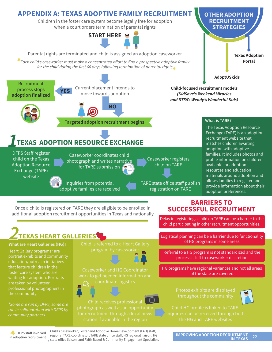

Once a child is registered on TARE they are eligible to be enrolled in additional adoption recruitment opportunities in Texas and nationally

#### **BARRIERS TO SUCCESSFUL RECRUITMENT**

Delay in registering a child on TARE can be a barrier to the child participating in other recruitment opportunities.

Logistical planning can be a **barrier** due to functionality of HG programs in some areas

Referral to a HG program is not standardized and the process is left to caseworker discretion

HG programs have regional variances and not all areas of the state are covered



**EXECUTE:** DFPS staff involved **in adoption recruitment**

run in collaboration with DFPS by

the community.

Heart Gallery programs\* are portrait exhibits and community education/outreach initiatives that feature children in the foster care system who are waiting for adoption. Portraits

> Child's caseworker; Foster and Adoptive Home Development (FAD) staff; regional TARE coordinator; TARE state office staff; HG regional liaison; HG state office liaison; and Faith Based & Community Engagement Specialists

**IMPROVING ADOPTION RECRUITMENT** 22 **IN TEXAS**

**What are Heart Galleries (HG)?** Child is referred to a Heart Gallery **2TEXAS HEART GALLERIES**



Caseworker and HG Coordinator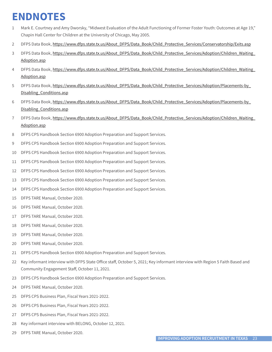# **ENDNOTES**

- 1 Mark E. Courtney and Amy Dworsky, "Midwest Evaluation of the Adult Functioning of Former Foster Youth: Outcomes at Age 19," Chapin Hall Center for Children at the University of Chicago, May 2005.
- 2 DFPS Data Book, https://www.dfps.state.tx.us/About\_DFPS/Data\_Book/Child\_Protective\_Services/Conservatorship/Exits.asp
- 3 DFPS Data Book, https://www.dfps.state.tx.us/About\_DFPS/Data\_Book/Child\_Protective\_Services/Adoption/Children\_Waiting\_ Adoption.asp
- 4 DFPS Data Book, https://www.dfps.state.tx.us/About\_DFPS/Data\_Book/Child\_Protective\_Services/Adoption/Children\_Waiting\_ Adoption.asp
- 5 DFPS Data Book, https://www.dfps.state.tx.us/About\_DFPS/Data\_Book/Child\_Protective\_Services/Adoption/Placements-by\_ Disabling\_Conditions.asp
- 6 DFPS Data Book, https://www.dfps.state.tx.us/About\_DFPS/Data\_Book/Child\_Protective\_Services/Adoption/Placements-by\_ Disabling\_Conditions.asp
- 7 DFPS Data Book, https://www.dfps.state.tx.us/About\_DFPS/Data\_Book/Child\_Protective\_Services/Adoption/Children\_Waiting\_ Adoption.asp
- 8 DFPS CPS Handbook Section 6900 Adoption Preparation and Support Services.
- 9 DFPS CPS Handbook Section 6900 Adoption Preparation and Support Services.
- 10 DFPS CPS Handbook Section 6900 Adoption Preparation and Support Services.
- 11 DFPS CPS Handbook Section 6900 Adoption Preparation and Support Services.
- 12 DFPS CPS Handbook Section 6900 Adoption Preparation and Support Services.
- 13 DFPS CPS Handbook Section 6900 Adoption Preparation and Support Services.
- 14 DFPS CPS Handbook Section 6900 Adoption Preparation and Support Services.
- 15 DFPS TARE Manual, October 2020.
- 16 DFPS TARE Manual, October 2020.
- 17 DFPS TARE Manual, October 2020.
- 18 DFPS TARE Manual, October 2020.
- 19 DFPS TARE Manual, October 2020.
- 20 DFPS TARE Manual, October 2020.
- 21 DFPS CPS Handbook Section 6900 Adoption Preparation and Support Services.
- 22 Key informant interview with DFPS State Office staff, October 5, 2021; Key informant interview with Region 5 Faith Based and Community Engagement Staff, October 11, 2021.
- 23 DFPS CPS Handbook Section 6900 Adoption Preparation and Support Services.
- 24 DFPS TARE Manual, October 2020.
- 25 DFPS CPS Business Plan, Fiscal Years 2021-2022.
- 26 DFPS CPS Business Plan, Fiscal Years 2021-2022.
- 27 DFPS CPS Business Plan, Fiscal Years 2021-2022.
- 28 Key informant interview with BELONG, October 12, 2021.
- 29 DFPS TARE Manual, October 2020.